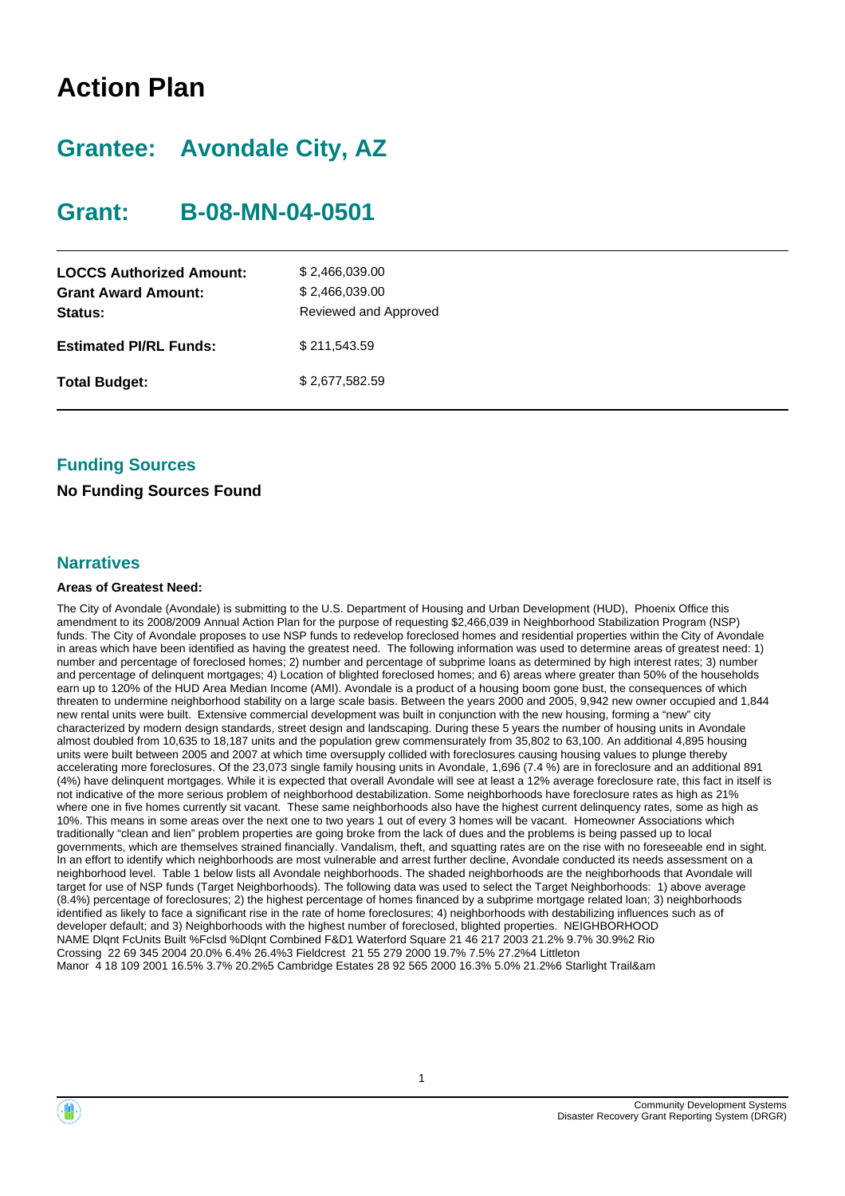# **Action Plan**

# **Grantee: Avondale City, AZ**

# **Grant: B-08-MN-04-0501**

| \$2,466,039.00<br>\$2,466,039.00<br>Reviewed and Approved |
|-----------------------------------------------------------|
| \$211,543.59                                              |
| \$2,677,582.59                                            |
|                                                           |

## **Funding Sources**

### **No Funding Sources Found**

### **Narratives**

### **Areas of Greatest Need:**

The City of Avondale (Avondale) is submitting to the U.S. Department of Housing and Urban Development (HUD), Phoenix Office this amendment to its 2008/2009 Annual Action Plan for the purpose of requesting \$2,466,039 in Neighborhood Stabilization Program (NSP) funds. The City of Avondale proposes to use NSP funds to redevelop foreclosed homes and residential properties within the City of Avondale in areas which have been identified as having the greatest need. The following information was used to determine areas of greatest need: 1) number and percentage of foreclosed homes; 2) number and percentage of subprime loans as determined by high interest rates; 3) number and percentage of delinquent mortgages; 4) Location of blighted foreclosed homes; and 6) areas where greater than 50% of the households earn up to 120% of the HUD Area Median Income (AMI). Avondale is a product of a housing boom gone bust, the consequences of which threaten to undermine neighborhood stability on a large scale basis. Between the years 2000 and 2005, 9,942 new owner occupied and 1,844 new rental units were built. Extensive commercial development was built in conjunction with the new housing, forming a "new" city characterized by modern design standards, street design and landscaping. During these 5 years the number of housing units in Avondale almost doubled from 10,635 to 18,187 units and the population grew commensurately from 35,802 to 63,100. An additional 4,895 housing units were built between 2005 and 2007 at which time oversupply collided with foreclosures causing housing values to plunge thereby accelerating more foreclosures. Of the 23,073 single family housing units in Avondale, 1,696 (7.4 %) are in foreclosure and an additional 891 (4%) have delinquent mortgages. While it is expected that overall Avondale will see at least a 12% average foreclosure rate, this fact in itself is not indicative of the more serious problem of neighborhood destabilization. Some neighborhoods have foreclosure rates as high as 21% where one in five homes currently sit vacant. These same neighborhoods also have the highest current delinquency rates, some as high as 10%. This means in some areas over the next one to two years 1 out of every 3 homes will be vacant. Homeowner Associations which traditionally "clean and lien" problem properties are going broke from the lack of dues and the problems is being passed up to local governments, which are themselves strained financially. Vandalism, theft, and squatting rates are on the rise with no foreseeable end in sight. In an effort to identify which neighborhoods are most vulnerable and arrest further decline, Avondale conducted its needs assessment on a neighborhood level. Table 1 below lists all Avondale neighborhoods. The shaded neighborhoods are the neighborhoods that Avondale will target for use of NSP funds (Target Neighborhoods). The following data was used to select the Target Neighborhoods: 1) above average (8.4%) percentage of foreclosures; 2) the highest percentage of homes financed by a subprime mortgage related loan; 3) neighborhoods identified as likely to face a significant rise in the rate of home foreclosures; 4) neighborhoods with destabilizing influences such as of developer default; and 3) Neighborhoods with the highest number of foreclosed, blighted properties. NEIGHBORHOOD NAME Dlqnt FcUnits Built %Fclsd %Dlqnt Combined F&D1 Waterford Square 21 46 217 2003 21.2% 9.7% 30.9%2 Rio Crossing 22 69 345 2004 20.0% 6.4% 26.4%3 Fieldcrest 21 55 279 2000 19.7% 7.5% 27.2%4 Littleton Manor 4 18 109 2001 16.5% 3.7% 20.2%5 Cambridge Estates 28 92 565 2000 16.3% 5.0% 21.2%6 Starlight Trail&am



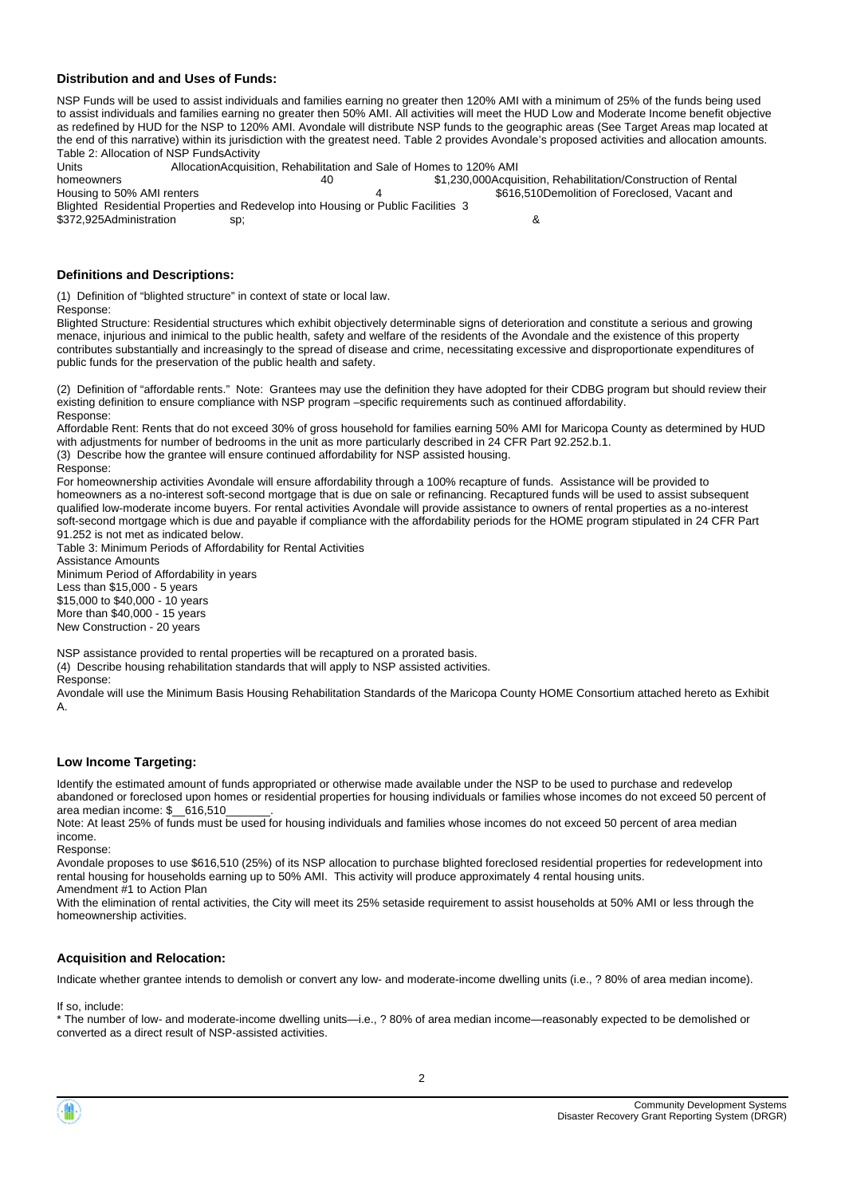#### **Distribution and and Uses of Funds:**

NSP Funds will be used to assist individuals and families earning no greater then 120% AMI with a minimum of 25% of the funds being used to assist individuals and families earning no greater then 50% AMI. All activities will meet the HUD Low and Moderate Income benefit objective as redefined by HUD for the NSP to 120% AMI. Avondale will distribute NSP funds to the geographic areas (See Target Areas map located at the end of this narrative) within its jurisdiction with the greatest need. Table 2 provides Avondale's proposed activities and allocation amounts. Table 2: Allocation of NSP FundsActivity

Units **AllocationAcquisition, Rehabilitation and Sale of Homes to 120% AMI**<br>homeowners **40** 51,230,000Acqui

homeowners 1.1 and 10 \$1,230,000Acquisition, Rehabilitation/Construction of Rental<br>Housing to 50% AMI renters 1.1 and 1.1 and 1.1 and 1.1 and 1.1 and 1.1 and 1.1 and 1.1 and 1.1 and 1.1 and 1.1 4 \$616,510Demolition of Foreclosed, Vacant and Blighted Residential Properties and Redevelop into Housing or Public Facilities 3 \$372,925Administration sp; &

#### **Definitions and Descriptions:**

(1) Definition of "blighted structure" in context of state or local law.

Response:

Blighted Structure: Residential structures which exhibit objectively determinable signs of deterioration and constitute a serious and growing menace, injurious and inimical to the public health, safety and welfare of the residents of the Avondale and the existence of this property contributes substantially and increasingly to the spread of disease and crime, necessitating excessive and disproportionate expenditures of public funds for the preservation of the public health and safety.

(2) Definition of "affordable rents." Note: Grantees may use the definition they have adopted for their CDBG program but should review their existing definition to ensure compliance with NSP program –specific requirements such as continued affordability. Response:

Affordable Rent: Rents that do not exceed 30% of gross household for families earning 50% AMI for Maricopa County as determined by HUD with adjustments for number of bedrooms in the unit as more particularly described in 24 CFR Part 92.252.b.1.

(3) Describe how the grantee will ensure continued affordability for NSP assisted housing.

Response:

For homeownership activities Avondale will ensure affordability through a 100% recapture of funds. Assistance will be provided to homeowners as a no-interest soft-second mortgage that is due on sale or refinancing. Recaptured funds will be used to assist subsequent qualified low-moderate income buyers. For rental activities Avondale will provide assistance to owners of rental properties as a no-interest soft-second mortgage which is due and payable if compliance with the affordability periods for the HOME program stipulated in 24 CFR Part 91.252 is not met as indicated below.

Table 3: Minimum Periods of Affordability for Rental Activities Assistance Amounts Minimum Period of Affordability in years Less than \$15,000 - 5 years \$15,000 to \$40,000 - 10 years More than \$40,000 - 15 years New Construction - 20 years

NSP assistance provided to rental properties will be recaptured on a prorated basis.

(4) Describe housing rehabilitation standards that will apply to NSP assisted activities. Response:

Avondale will use the Minimum Basis Housing Rehabilitation Standards of the Maricopa County HOME Consortium attached hereto as Exhibit A.

#### **Low Income Targeting:**

Identify the estimated amount of funds appropriated or otherwise made available under the NSP to be used to purchase and redevelop abandoned or foreclosed upon homes or residential properties for housing individuals or families whose incomes do not exceed 50 percent of area median income: \$\_\_616,510\_\_\_\_\_\_\_.

Note: At least 25% of funds must be used for housing individuals and families whose incomes do not exceed 50 percent of area median income. Response:

Avondale proposes to use \$616,510 (25%) of its NSP allocation to purchase blighted foreclosed residential properties for redevelopment into rental housing for households earning up to 50% AMI. This activity will produce approximately 4 rental housing units. Amendment #1 to Action Plan

With the elimination of rental activities, the City will meet its 25% setaside requirement to assist households at 50% AMI or less through the homeownership activities.

#### **Acquisition and Relocation:**

Indicate whether grantee intends to demolish or convert any low- and moderate-income dwelling units (i.e., ? 80% of area median income).

If so, include:

\* The number of low- and moderate-income dwelling units—i.e., ? 80% of area median income—reasonably expected to be demolished or converted as a direct result of NSP-assisted activities.

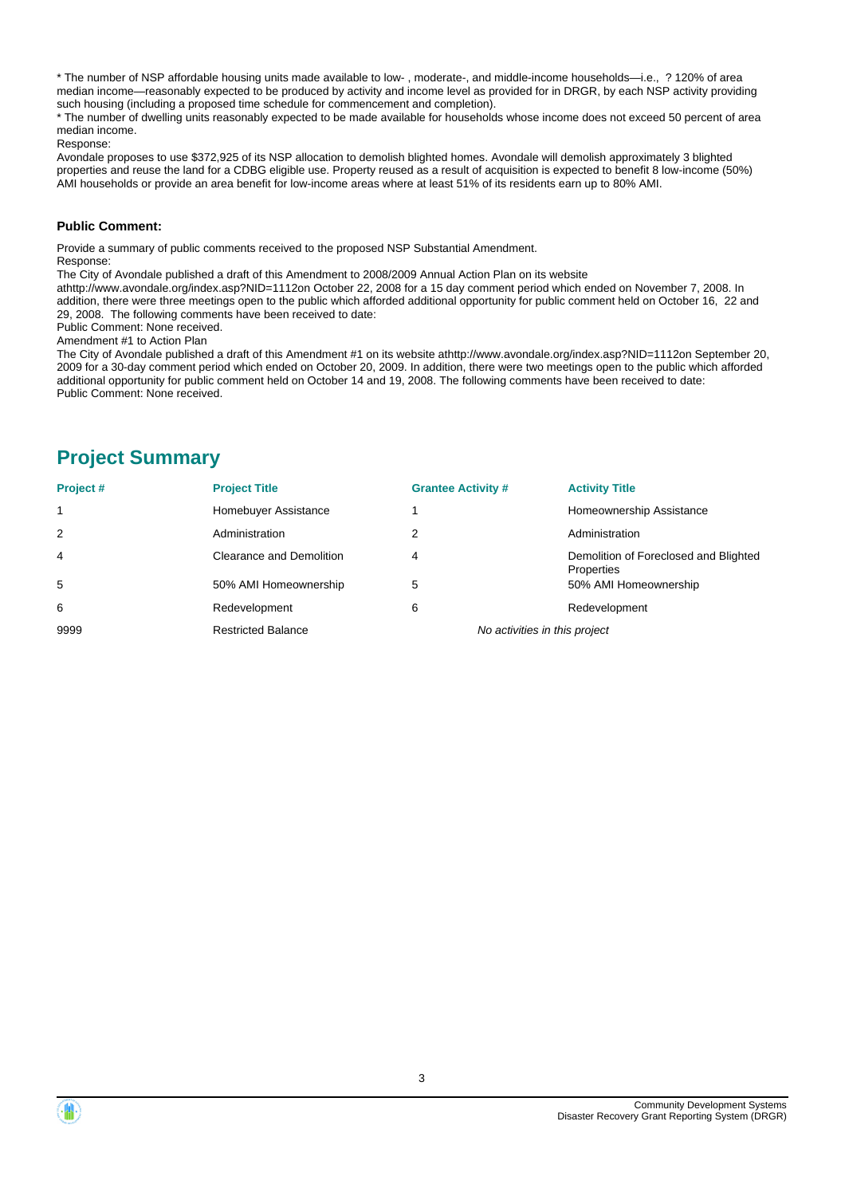\* The number of NSP affordable housing units made available to low- , moderate-, and middle-income households—i.e., ? 120% of area median income—reasonably expected to be produced by activity and income level as provided for in DRGR, by each NSP activity providing such housing (including a proposed time schedule for commencement and completion).

\* The number of dwelling units reasonably expected to be made available for households whose income does not exceed 50 percent of area median income.

#### Response:

Avondale proposes to use \$372,925 of its NSP allocation to demolish blighted homes. Avondale will demolish approximately 3 blighted properties and reuse the land for a CDBG eligible use. Property reused as a result of acquisition is expected to benefit 8 low-income (50%) AMI households or provide an area benefit for low-income areas where at least 51% of its residents earn up to 80% AMI.

#### **Public Comment:**

Provide a summary of public comments received to the proposed NSP Substantial Amendment. Response:

The City of Avondale published a draft of this Amendment to 2008/2009 Annual Action Plan on its website

athttp://www.avondale.org/index.asp?NID=1112on October 22, 2008 for a 15 day comment period which ended on November 7, 2008. In addition, there were three meetings open to the public which afforded additional opportunity for public comment held on October 16, 22 and 29, 2008. The following comments have been received to date:

Public Comment: None received.

Amendment #1 to Action Plan

The City of Avondale published a draft of this Amendment #1 on its website athttp://www.avondale.org/index.asp?NID=1112on September 20, 2009 for a 30-day comment period which ended on October 20, 2009. In addition, there were two meetings open to the public which afforded additional opportunity for public comment held on October 14 and 19, 2008. The following comments have been received to date: Public Comment: None received.

## **Project Summary**

| Project# | <b>Project Title</b>      | <b>Grantee Activity #</b>     | <b>Activity Title</b>                               |
|----------|---------------------------|-------------------------------|-----------------------------------------------------|
|          | Homebuyer Assistance      |                               | Homeownership Assistance                            |
| 2        | Administration            |                               | Administration                                      |
| 4        | Clearance and Demolition  | 4                             | Demolition of Foreclosed and Blighted<br>Properties |
| 5        | 50% AMI Homeownership     | 5                             | 50% AMI Homeownership                               |
| 6        | Redevelopment             | 6                             | Redevelopment                                       |
| 9999     | <b>Restricted Balance</b> | No activities in this project |                                                     |

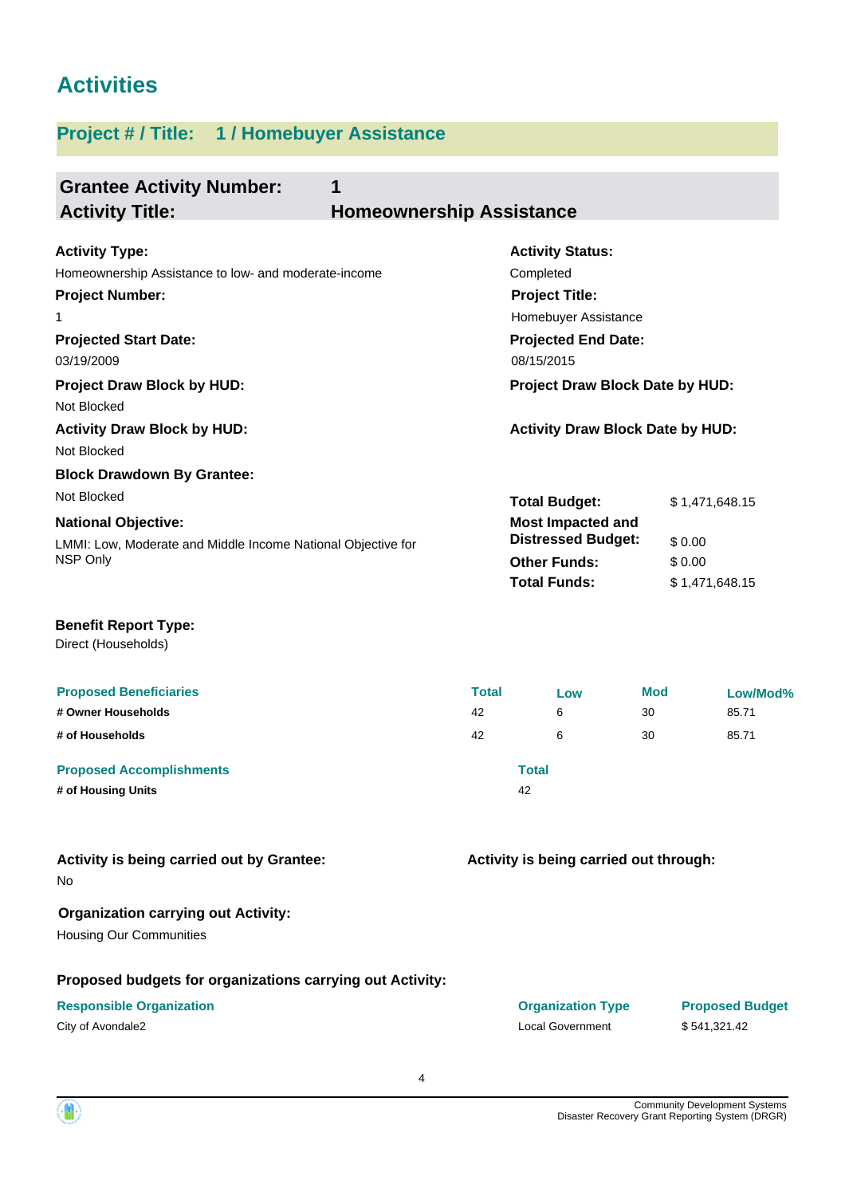# **Activities**

# **Project # / Title: 1 / Homebuyer Assistance**

| <b>Grantee Activity Number:</b><br>1<br><b>Activity Title:</b><br><b>Homeownership Assistance</b>                                                          |                                         |                                                                                                                             |                        |                                  |
|------------------------------------------------------------------------------------------------------------------------------------------------------------|-----------------------------------------|-----------------------------------------------------------------------------------------------------------------------------|------------------------|----------------------------------|
| <b>Activity Type:</b><br>Homeownership Assistance to low- and moderate-income<br><b>Project Number:</b><br>1<br><b>Projected Start Date:</b>               |                                         | <b>Activity Status:</b><br>Completed<br><b>Project Title:</b><br>Homebuyer Assistance<br><b>Projected End Date:</b>         |                        |                                  |
| 03/19/2009<br><b>Project Draw Block by HUD:</b><br>Not Blocked                                                                                             |                                         | 08/15/2015<br>Project Draw Block Date by HUD:                                                                               |                        |                                  |
| <b>Activity Draw Block by HUD:</b><br>Not Blocked                                                                                                          | <b>Activity Draw Block Date by HUD:</b> |                                                                                                                             |                        |                                  |
| <b>Block Drawdown By Grantee:</b><br>Not Blocked<br><b>National Objective:</b><br>LMMI: Low, Moderate and Middle Income National Objective for<br>NSP Only |                                         | <b>Total Budget:</b><br><b>Most Impacted and</b><br><b>Distressed Budget:</b><br><b>Other Funds:</b><br><b>Total Funds:</b> | \$0.00<br>\$0.00       | \$1,471,648.15<br>\$1,471,648.15 |
| <b>Benefit Report Type:</b><br>Direct (Households)                                                                                                         |                                         |                                                                                                                             |                        |                                  |
| <b>Proposed Beneficiaries</b><br># Owner Households<br># of Households                                                                                     | <b>Total</b><br>42<br>42                | Low<br>6<br>6                                                                                                               | <b>Mod</b><br>30<br>30 | Low/Mod%<br>85.71<br>85.71       |
| <b>Proposed Accomplishments</b><br># of Housing Units                                                                                                      |                                         | <b>Total</b><br>42                                                                                                          |                        |                                  |
| Activity is being carried out by Grantee:<br>No                                                                                                            |                                         | Activity is being carried out through:                                                                                      |                        |                                  |
| <b>Organization carrying out Activity:</b><br><b>Housing Our Communities</b>                                                                               |                                         |                                                                                                                             |                        |                                  |
| Proposed budgets for organizations carrying out Activity:                                                                                                  |                                         |                                                                                                                             |                        |                                  |

### **Responsible Organization COVID-10 COVID-10 Organization Type Proposed Budget**

City of Avondale2 Local Government \$ 541,321.42

4

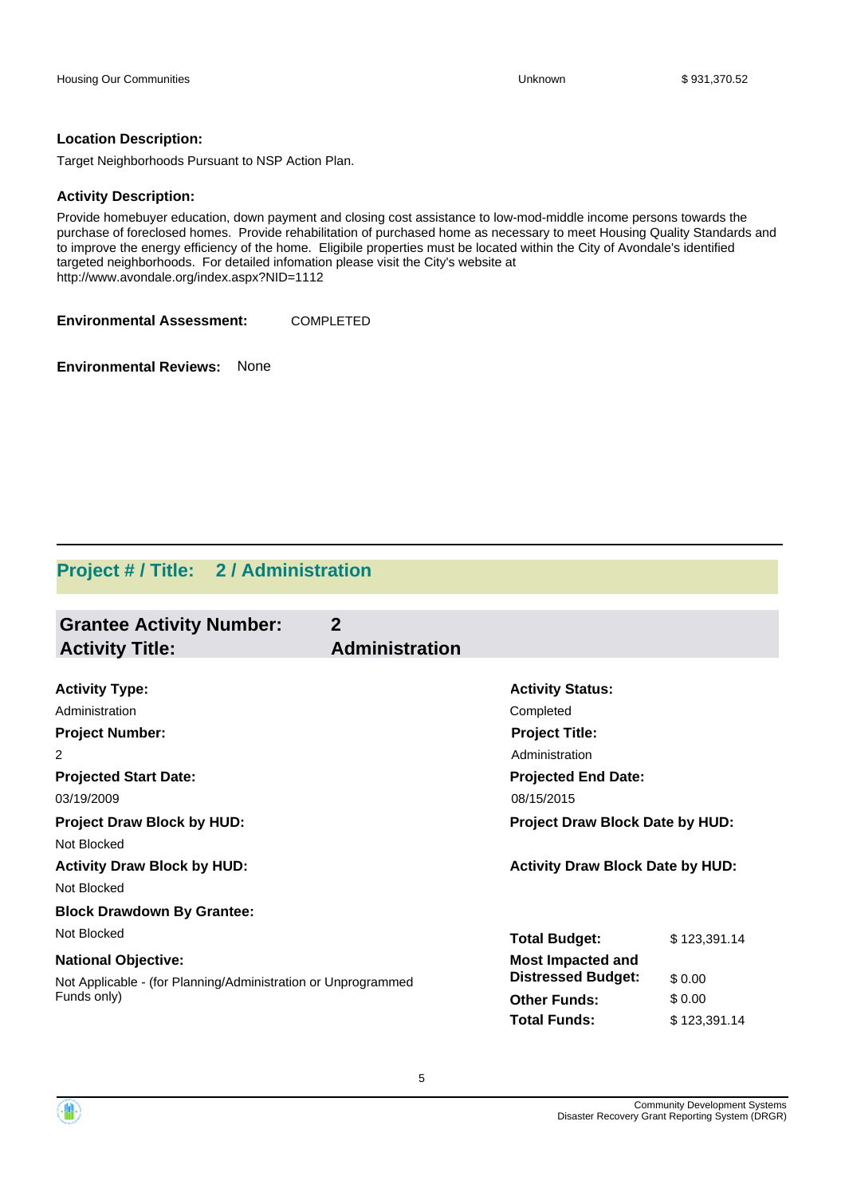### **Location Description:**

Target Neighborhoods Pursuant to NSP Action Plan.

### **Activity Description:**

Provide homebuyer education, down payment and closing cost assistance to low-mod-middle income persons towards the purchase of foreclosed homes. Provide rehabilitation of purchased home as necessary to meet Housing Quality Standards and to improve the energy efficiency of the home. Eligibile properties must be located within the City of Avondale's identified targeted neighborhoods. For detailed infomation please visit the City's website at http://www.avondale.org/index.aspx?NID=1112

**Environmental Assessment:** COMPLETED

**Environmental Reviews:** None

## **Project # / Title: 2 / Administration**

| <b>Grantee Activity Number:</b><br><b>Activity Title:</b>     | $\mathbf{2}$<br><b>Administration</b> |                                         |              |
|---------------------------------------------------------------|---------------------------------------|-----------------------------------------|--------------|
|                                                               |                                       |                                         |              |
| <b>Activity Type:</b>                                         |                                       | <b>Activity Status:</b>                 |              |
| Administration                                                |                                       | Completed                               |              |
| <b>Project Number:</b>                                        |                                       | <b>Project Title:</b>                   |              |
| 2                                                             |                                       | Administration                          |              |
| <b>Projected Start Date:</b>                                  |                                       | <b>Projected End Date:</b>              |              |
| 03/19/2009                                                    |                                       | 08/15/2015                              |              |
| <b>Project Draw Block by HUD:</b>                             |                                       | Project Draw Block Date by HUD:         |              |
| Not Blocked                                                   |                                       |                                         |              |
| <b>Activity Draw Block by HUD:</b>                            |                                       | <b>Activity Draw Block Date by HUD:</b> |              |
| Not Blocked                                                   |                                       |                                         |              |
| <b>Block Drawdown By Grantee:</b>                             |                                       |                                         |              |
| Not Blocked                                                   |                                       | <b>Total Budget:</b>                    | \$123,391.14 |
| <b>National Objective:</b>                                    |                                       | <b>Most Impacted and</b>                |              |
| Not Applicable - (for Planning/Administration or Unprogrammed |                                       | <b>Distressed Budget:</b>               | \$0.00       |
| Funds only)                                                   |                                       | <b>Other Funds:</b>                     | \$0.00       |
|                                                               |                                       | <b>Total Funds:</b>                     | \$123,391.14 |

5

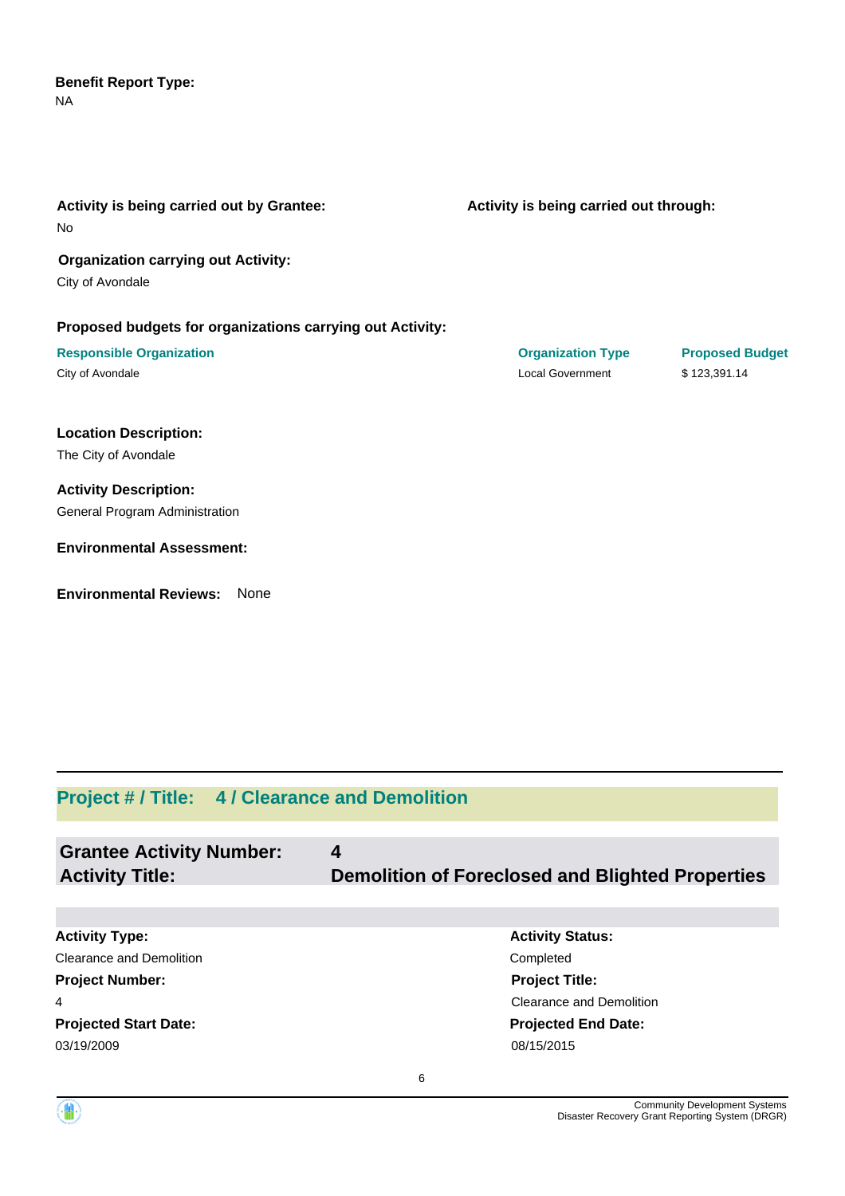### NA **Benefit Report Type:**

| Activity is being carried out by Grantee:<br>No           | Activity is being carried out through: |                        |
|-----------------------------------------------------------|----------------------------------------|------------------------|
| <b>Organization carrying out Activity:</b>                |                                        |                        |
| City of Avondale                                          |                                        |                        |
| Proposed budgets for organizations carrying out Activity: |                                        |                        |
| <b>Responsible Organization</b>                           | <b>Organization Type</b>               | <b>Proposed Budget</b> |
| City of Avondale                                          | <b>Local Government</b>                | \$123,391.14           |
| <b>Location Description:</b>                              |                                        |                        |
| The City of Avondale                                      |                                        |                        |
| <b>Activity Description:</b>                              |                                        |                        |
| General Program Administration                            |                                        |                        |
| <b>Environmental Assessment:</b>                          |                                        |                        |
| <b>Environmental Reviews:</b><br>None                     |                                        |                        |

# **Project # / Title: 4 / Clearance and Demolition**

| <b>Grantee Activity Number:</b><br><b>Activity Title:</b> | 4<br><b>Demolition of Foreclosed and Blighted Properties</b> |
|-----------------------------------------------------------|--------------------------------------------------------------|
|                                                           |                                                              |
| <b>Activity Type:</b>                                     | <b>Activity Status:</b>                                      |
| Clearance and Demolition                                  | Completed                                                    |
| <b>Project Number:</b>                                    | <b>Project Title:</b>                                        |
| 4                                                         | Clearance and Demolition                                     |
| <b>Projected Start Date:</b>                              | <b>Projected End Date:</b>                                   |
| 03/19/2009                                                | 08/15/2015                                                   |
|                                                           |                                                              |

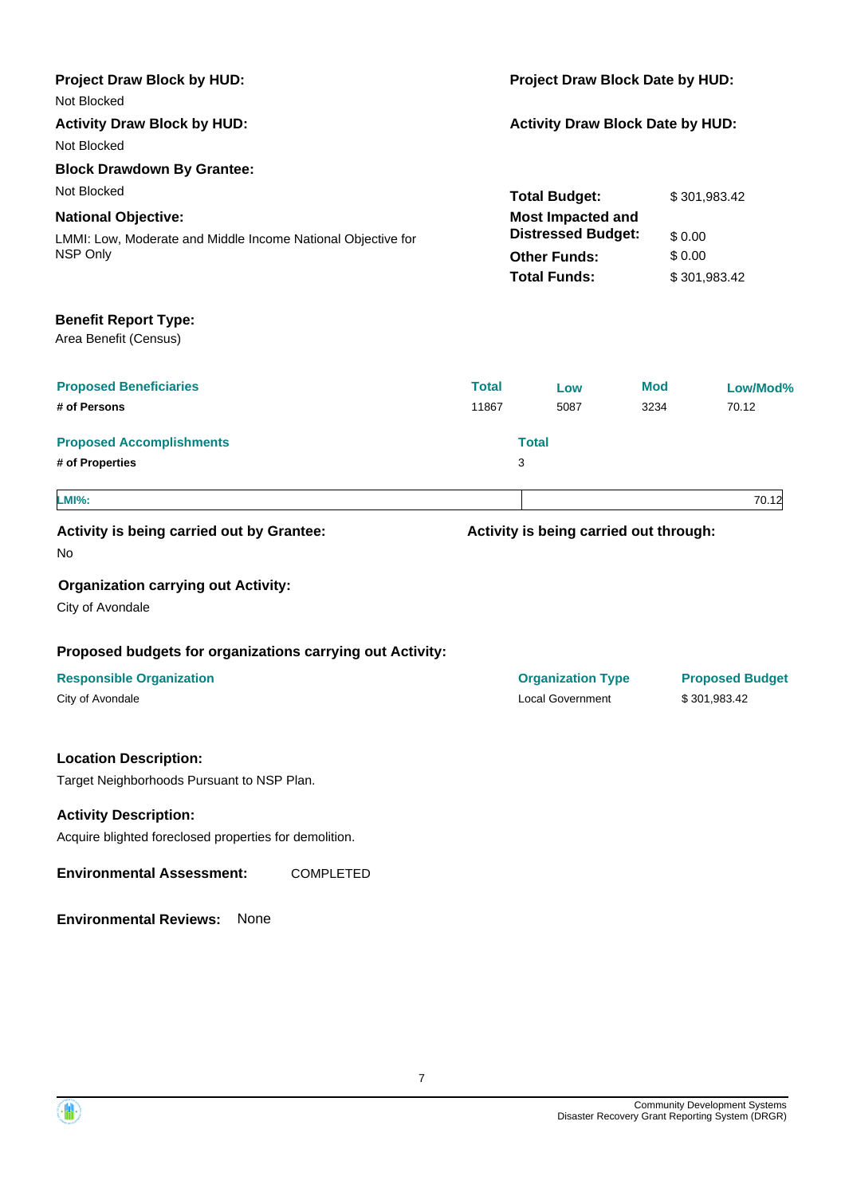| <b>Project Draw Block by HUD:</b>                                          | Project Draw Block Date by HUD:         |                                                       |            |                                        |
|----------------------------------------------------------------------------|-----------------------------------------|-------------------------------------------------------|------------|----------------------------------------|
| Not Blocked<br><b>Activity Draw Block by HUD:</b><br>Not Blocked           | <b>Activity Draw Block Date by HUD:</b> |                                                       |            |                                        |
| <b>Block Drawdown By Grantee:</b>                                          |                                         |                                                       |            |                                        |
| Not Blocked                                                                |                                         | <b>Total Budget:</b>                                  |            | \$301,983.42                           |
| <b>National Objective:</b>                                                 |                                         | <b>Most Impacted and</b><br><b>Distressed Budget:</b> |            |                                        |
| LMMI: Low, Moderate and Middle Income National Objective for<br>NSP Only   |                                         | <b>Other Funds:</b>                                   |            | \$0.00<br>\$0.00                       |
|                                                                            |                                         | <b>Total Funds:</b>                                   |            | \$301,983.42                           |
| <b>Benefit Report Type:</b><br>Area Benefit (Census)                       |                                         |                                                       |            |                                        |
| <b>Proposed Beneficiaries</b>                                              | <b>Total</b>                            | Low                                                   | <b>Mod</b> | Low/Mod%                               |
| # of Persons                                                               | 11867                                   | 5087                                                  | 3234       | 70.12                                  |
| <b>Proposed Accomplishments</b>                                            |                                         | <b>Total</b>                                          |            |                                        |
| # of Properties                                                            |                                         | 3                                                     |            |                                        |
| <b>LMI%:</b>                                                               |                                         |                                                       |            | 70.12                                  |
| Activity is being carried out by Grantee:<br>No                            |                                         | Activity is being carried out through:                |            |                                        |
| <b>Organization carrying out Activity:</b><br>City of Avondale             |                                         |                                                       |            |                                        |
| Proposed budgets for organizations carrying out Activity:                  |                                         |                                                       |            |                                        |
| <b>Responsible Organization</b><br>City of Avondale                        |                                         | <b>Organization Type</b><br><b>Local Government</b>   |            | <b>Proposed Budget</b><br>\$301,983.42 |
| <b>Location Description:</b><br>Target Neighborhoods Pursuant to NSP Plan. |                                         |                                                       |            |                                        |
| <b>Activity Description:</b>                                               |                                         |                                                       |            |                                        |
| Acquire blighted foreclosed properties for demolition.                     |                                         |                                                       |            |                                        |
| <b>Environmental Assessment:</b><br><b>COMPLETED</b>                       |                                         |                                                       |            |                                        |
| <b>Environmental Reviews:</b><br>None                                      |                                         |                                                       |            |                                        |

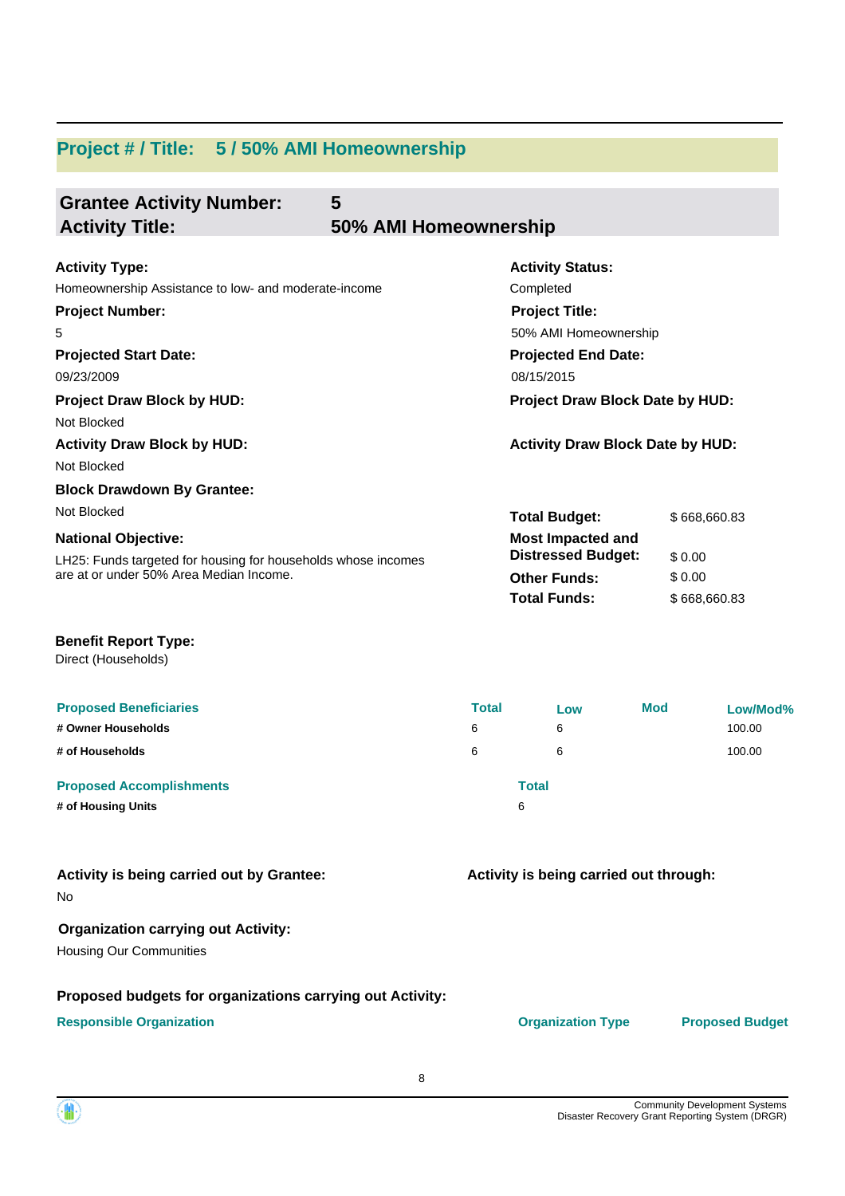# **Project # / Title: 5 / 50% AMI Homeownership**

| <b>Grantee Activity Number:</b>                               | 5                     |                                         |              |
|---------------------------------------------------------------|-----------------------|-----------------------------------------|--------------|
| <b>Activity Title:</b>                                        | 50% AMI Homeownership |                                         |              |
| <b>Activity Type:</b>                                         |                       | <b>Activity Status:</b>                 |              |
| Homeownership Assistance to low- and moderate-income          |                       | Completed                               |              |
| <b>Project Number:</b>                                        |                       | <b>Project Title:</b>                   |              |
| 5                                                             |                       | 50% AMI Homeownership                   |              |
| <b>Projected Start Date:</b>                                  |                       | <b>Projected End Date:</b>              |              |
| 09/23/2009                                                    |                       | 08/15/2015                              |              |
| <b>Project Draw Block by HUD:</b>                             |                       | <b>Project Draw Block Date by HUD:</b>  |              |
| Not Blocked                                                   |                       |                                         |              |
| <b>Activity Draw Block by HUD:</b>                            |                       | <b>Activity Draw Block Date by HUD:</b> |              |
| Not Blocked                                                   |                       |                                         |              |
| <b>Block Drawdown By Grantee:</b>                             |                       |                                         |              |
| Not Blocked                                                   |                       | <b>Total Budget:</b>                    | \$668,660.83 |
| <b>National Objective:</b>                                    |                       | <b>Most Impacted and</b>                |              |
| LH25: Funds targeted for housing for households whose incomes |                       | <b>Distressed Budget:</b>               | \$0.00       |
| are at or under 50% Area Median Income.                       |                       | <b>Other Funds:</b>                     | \$0.00       |
|                                                               |                       | <b>Total Funds:</b>                     | \$668,660.83 |
|                                                               |                       |                                         |              |

### **Benefit Report Type:**

Direct (Households)

| <b>Proposed Beneficiaries</b>   | <b>Total</b> | Low   | <b>Mod</b> | Low/Mod% |
|---------------------------------|--------------|-------|------------|----------|
| # Owner Households              | 6            | 6     |            | 100.00   |
| # of Households                 | 6            | 6     |            | 100.00   |
| <b>Proposed Accomplishments</b> |              | Total |            |          |
| # of Housing Units              |              | 6     |            |          |

### No **Activity is being carried out by Grantee:**

## **Organization carrying out Activity:**

Housing Our Communities

### **Proposed budgets for organizations carrying out Activity:**

**Responsible Organization CONSERVIRGHT CONSERVIRGHT CONSERVIRGHT CONSERVIRGHT CONSERVIRGHT CONSERVIRGHT CONSERVIRGHT CONSERVIRGHT CONSERVIRGHT CONSERVIRGHT CONSERVIRGHT CONSERVIRGHT CONSERVIRGHT CONSERVIRGHT CONSERVIRGHT** 

**Activity is being carried out through:**

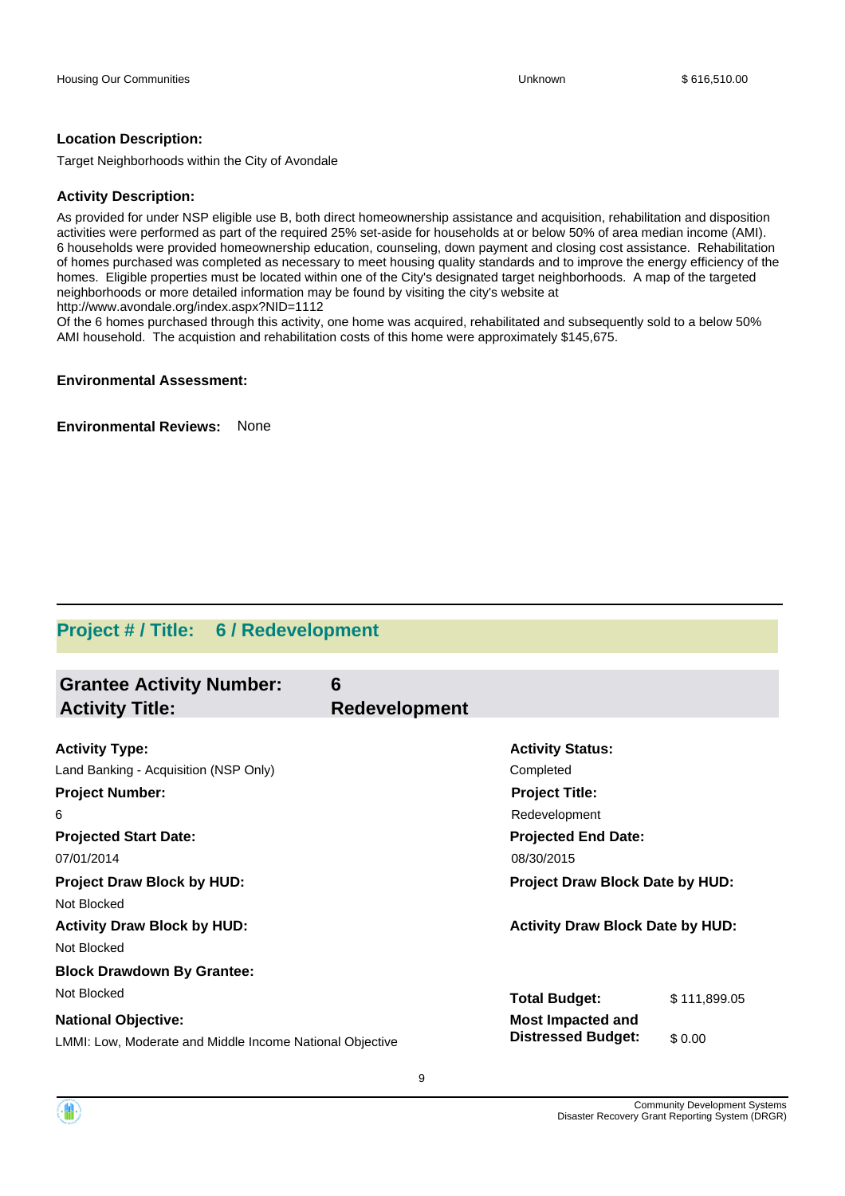### **Location Description:**

Target Neighborhoods within the City of Avondale

### **Activity Description:**

As provided for under NSP eligible use B, both direct homeownership assistance and acquisition, rehabilitation and disposition activities were performed as part of the required 25% set-aside for households at or below 50% of area median income (AMI). 6 households were provided homeownership education, counseling, down payment and closing cost assistance. Rehabilitation of homes purchased was completed as necessary to meet housing quality standards and to improve the energy efficiency of the homes. Eligible properties must be located within one of the City's designated target neighborhoods. A map of the targeted neighborhoods or more detailed information may be found by visiting the city's website at http://www.avondale.org/index.aspx?NID=1112

Of the 6 homes purchased through this activity, one home was acquired, rehabilitated and subsequently sold to a below 50% AMI household. The acquistion and rehabilitation costs of this home were approximately \$145,675.

### **Environmental Assessment:**

**Environmental Reviews:** None

## **Project # / Title: 6 / Redevelopment**

| <b>Grantee Activity Number:</b><br><b>Activity Title:</b> | 6<br><b>Redevelopment</b> |                                         |              |
|-----------------------------------------------------------|---------------------------|-----------------------------------------|--------------|
|                                                           |                           |                                         |              |
| <b>Activity Type:</b>                                     |                           | <b>Activity Status:</b>                 |              |
| Land Banking - Acquisition (NSP Only)                     |                           | Completed                               |              |
| <b>Project Number:</b>                                    |                           | <b>Project Title:</b>                   |              |
| 6                                                         |                           | Redevelopment                           |              |
| <b>Projected Start Date:</b>                              |                           | <b>Projected End Date:</b>              |              |
| 07/01/2014                                                |                           | 08/30/2015                              |              |
| <b>Project Draw Block by HUD:</b>                         |                           | <b>Project Draw Block Date by HUD:</b>  |              |
| Not Blocked                                               |                           |                                         |              |
| <b>Activity Draw Block by HUD:</b>                        |                           | <b>Activity Draw Block Date by HUD:</b> |              |
| Not Blocked                                               |                           |                                         |              |
| <b>Block Drawdown By Grantee:</b>                         |                           |                                         |              |
| Not Blocked                                               |                           | <b>Total Budget:</b>                    | \$111,899.05 |
| <b>National Objective:</b>                                |                           | <b>Most Impacted and</b>                |              |
| LMMI: Low, Moderate and Middle Income National Objective  |                           | <b>Distressed Budget:</b>               | \$0.00       |

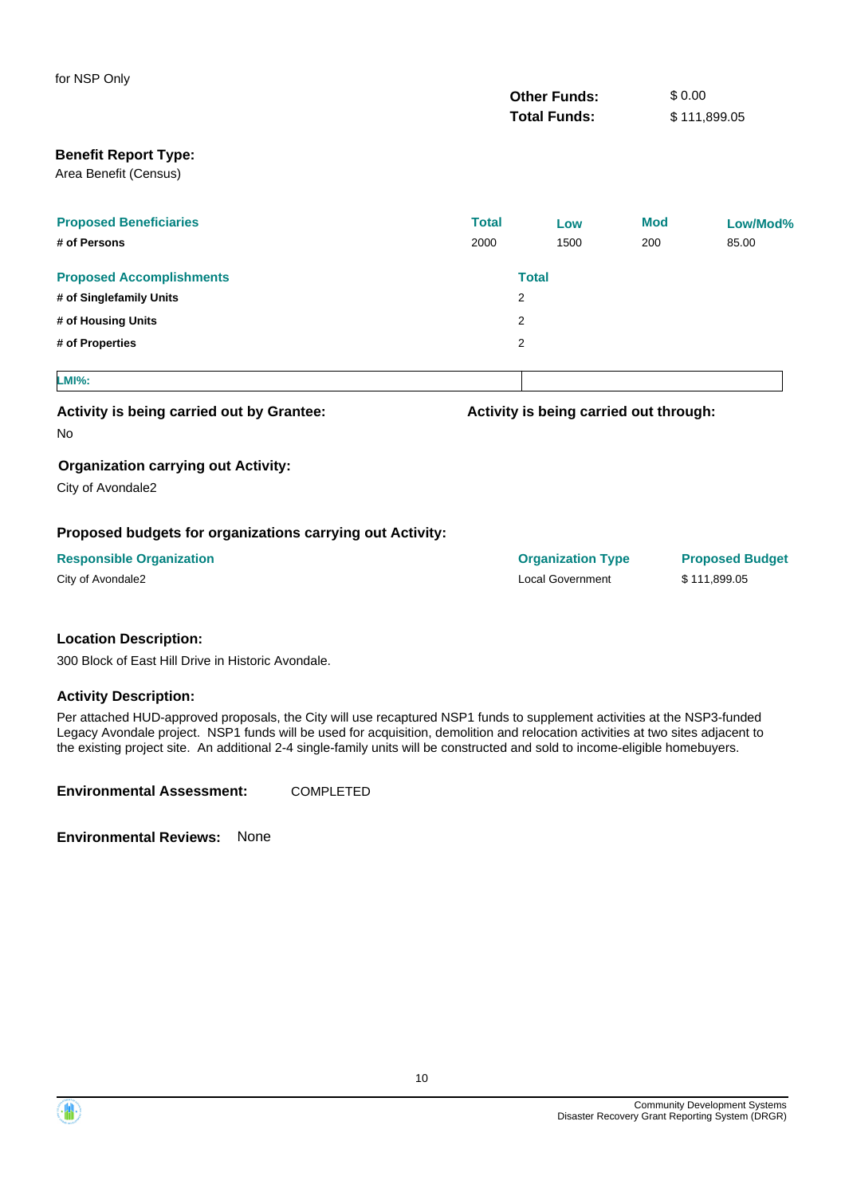| for NSP Only                                              |              |                                        |            |                        |
|-----------------------------------------------------------|--------------|----------------------------------------|------------|------------------------|
|                                                           |              | <b>Other Funds:</b>                    | \$0.00     |                        |
|                                                           |              | <b>Total Funds:</b>                    |            | \$111,899.05           |
| <b>Benefit Report Type:</b>                               |              |                                        |            |                        |
| Area Benefit (Census)                                     |              |                                        |            |                        |
| <b>Proposed Beneficiaries</b>                             | <b>Total</b> | Low                                    | <b>Mod</b> | Low/Mod%               |
| # of Persons                                              | 2000         | 1500                                   | 200        | 85.00                  |
| <b>Proposed Accomplishments</b>                           |              | <b>Total</b>                           |            |                        |
| # of Singlefamily Units                                   |              | 2                                      |            |                        |
| # of Housing Units                                        |              | 2                                      |            |                        |
| # of Properties                                           |              | 2                                      |            |                        |
| <b>LMI%:</b>                                              |              |                                        |            |                        |
| Activity is being carried out by Grantee:                 |              | Activity is being carried out through: |            |                        |
| No                                                        |              |                                        |            |                        |
| <b>Organization carrying out Activity:</b>                |              |                                        |            |                        |
| City of Avondale2                                         |              |                                        |            |                        |
| Proposed budgets for organizations carrying out Activity: |              |                                        |            |                        |
| <b>Responsible Organization</b>                           |              | <b>Organization Type</b>               |            | <b>Proposed Budget</b> |
|                                                           |              |                                        |            |                        |

|  | City of Avondale2 |  |
|--|-------------------|--|
|--|-------------------|--|

Local Government \$ 111,899.05

### **Location Description:**

300 Block of East Hill Drive in Historic Avondale.

### **Activity Description:**

Per attached HUD-approved proposals, the City will use recaptured NSP1 funds to supplement activities at the NSP3-funded Legacy Avondale project. NSP1 funds will be used for acquisition, demolition and relocation activities at two sites adjacent to the existing project site. An additional 2-4 single-family units will be constructed and sold to income-eligible homebuyers.

**Environmental Assessment:** COMPLETED

**Environmental Reviews:** None